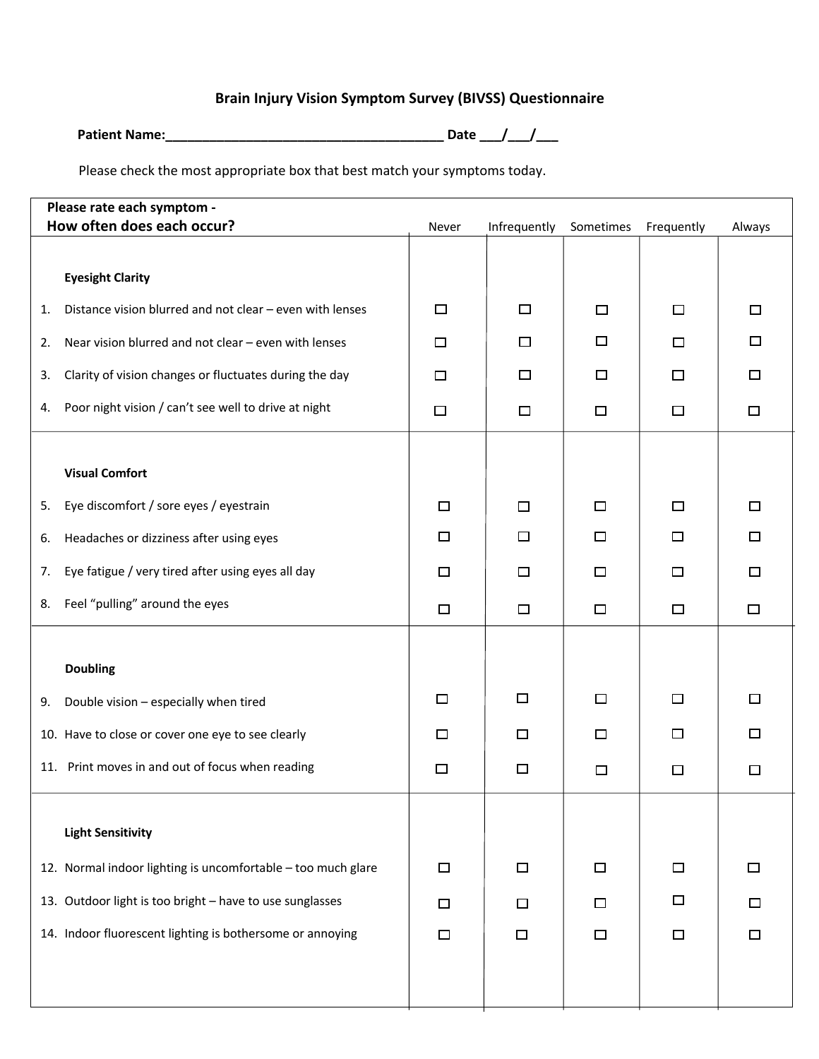## **Brain Injury Vision Symptom Survey (BIVSS) Questionnaire**

| <b>Patient Name:</b> | <b>Date</b> |  |
|----------------------|-------------|--|
|                      |             |  |

Please check the most appropriate box that best match your symptoms today.

|                                                           | Please rate each symptom -<br>How often does each occur?<br>Infrequently<br>Sometimes<br>Frequently<br>Always<br>Never |        |        |        |        |        |
|-----------------------------------------------------------|------------------------------------------------------------------------------------------------------------------------|--------|--------|--------|--------|--------|
|                                                           |                                                                                                                        |        |        |        |        |        |
|                                                           | <b>Eyesight Clarity</b>                                                                                                |        |        |        |        |        |
| 1.                                                        | Distance vision blurred and not clear - even with lenses                                                               | $\Box$ | □      | $\Box$ | $\Box$ | $\Box$ |
| 2.                                                        | Near vision blurred and not clear - even with lenses                                                                   | $\Box$ | □      | □      | $\Box$ | $\Box$ |
| 3.                                                        | Clarity of vision changes or fluctuates during the day                                                                 | □      | □      | П      | □      | □      |
| 4.                                                        | Poor night vision / can't see well to drive at night                                                                   | $\Box$ | $\Box$ | $\Box$ | $\Box$ | □      |
|                                                           |                                                                                                                        |        |        |        |        |        |
|                                                           | <b>Visual Comfort</b>                                                                                                  |        |        |        |        |        |
| 5.                                                        | Eye discomfort / sore eyes / eyestrain                                                                                 | $\Box$ | $\Box$ | $\Box$ | □      | □      |
| 6.                                                        | Headaches or dizziness after using eyes                                                                                | □      | □      | $\Box$ | □      | □      |
| 7.                                                        | Eye fatigue / very tired after using eyes all day                                                                      | □      | □      | □      | □      | □      |
| 8.                                                        | Feel "pulling" around the eyes                                                                                         | □      | $\Box$ | $\Box$ | $\Box$ | $\Box$ |
|                                                           |                                                                                                                        |        |        |        |        |        |
|                                                           | <b>Doubling</b>                                                                                                        |        |        |        |        |        |
| 9.                                                        | Double vision - especially when tired                                                                                  | □      | □      | $\Box$ | □      | $\Box$ |
| 10. Have to close or cover one eye to see clearly         |                                                                                                                        | □      | □      | $\Box$ | $\Box$ | □      |
|                                                           | 11. Print moves in and out of focus when reading                                                                       | $\Box$ | $\Box$ | □      | $\Box$ | $\Box$ |
|                                                           |                                                                                                                        |        |        |        |        |        |
|                                                           | <b>Light Sensitivity</b>                                                                                               |        |        |        |        |        |
|                                                           | 12. Normal indoor lighting is uncomfortable - too much glare                                                           | $\Box$ | $\Box$ | $\Box$ | $\Box$ | □      |
| 13. Outdoor light is too bright - have to use sunglasses  |                                                                                                                        | $\Box$ | $\Box$ | $\Box$ | $\Box$ | 口      |
| 14. Indoor fluorescent lighting is bothersome or annoying |                                                                                                                        | $\Box$ | $\Box$ | $\Box$ | $\Box$ | $\Box$ |
|                                                           |                                                                                                                        |        |        |        |        |        |
|                                                           |                                                                                                                        |        |        |        |        |        |